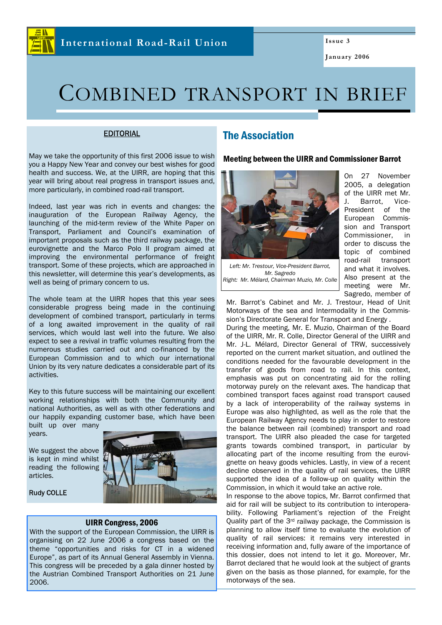

**Issue 3** 

**January 2006** 

# COMBINED TRANSPORT IN BRIEF

### EDITORIAL

May we take the opportunity of this first 2006 issue to wish you a Happy New Year and convey our best wishes for good health and success. We, at the UIRR, are hoping that this year will bring about real progress in transport issues and, more particularly, in combined road-rail transport.

Indeed, last year was rich in events and changes: the inauguration of the European Railway Agency, the launching of the mid-term review of the White Paper on Transport, Parliament and Council's examination of important proposals such as the third railway package, the eurovignette and the Marco Polo II program aimed at improving the environmental performance of freight transport. Some of these projects, which are approached in this newsletter, will determine this year's developments, as well as being of primary concern to us.

The whole team at the UIRR hopes that this year sees considerable progress being made in the continuing development of combined transport, particularly in terms of a long awaited improvement in the quality of rail services, which would last well into the future. We also expect to see a revival in traffic volumes resulting from the numerous studies carried out and co-financed by the European Commission and to which our international Union by its very nature dedicates a considerable part of its activities.

Key to this future success will be maintaining our excellent working relationships with both the Community and national Authorities, as well as with other federations and our happily expanding customer base, which have been built up over many

years.

We suggest the above is kept in mind whilst reading the following articles.

Rudy COLLE



#### UIRR Congress, 2006

With the support of the European Commission, the UIRR is organising on 22 June 2006 a congress based on the theme "opportunities and risks for CT in a widened Europe", as part of its Annual General Assembly in Vienna. This congress will be preceded by a gala dinner hosted by the Austrian Combined Transport Authorities on 21 June 2006.

# The Association

#### Meeting between the UIRR and Commissioner Barrot



*Left: Mr. Trestour, Vice-President Barrot, Mr. Sagredo Right: Mr. Mélard, Chairman Muzio, Mr. Colle* 

On 27 November 2005, a delegation of the UIRR met Mr. J. Barrot, Vice-President of the European Commission and Transport Commissioner, in order to discuss the topic of combined road-rail transport and what it involves. Also present at the meeting were Mr. Sagredo, member of

Mr. Barrot's Cabinet and Mr. J. Trestour, Head of Unit Motorways of the sea and Intermodality in the Commission's Directorate General for Transport and Energy .

During the meeting, Mr. E. Muzio, Chairman of the Board of the UIRR, Mr. R. Colle, Director General of the UIRR and Mr. J-L. Mélard, Director General of TRW, successively reported on the current market situation, and outlined the conditions needed for the favourable development in the transfer of goods from road to rail. In this context, emphasis was put on concentrating aid for the rolling motorway purely on the relevant axes. The handicap that combined transport faces against road transport caused by a lack of interoperability of the railway systems in Europe was also highlighted, as well as the role that the European Railway Agency needs to play in order to restore the balance between rail (combined) transport and road transport. The UIRR also pleaded the case for targeted grants towards combined transport, in particular by allocating part of the income resulting from the eurovignette on heavy goods vehicles. Lastly, in view of a recent decline observed in the quality of rail services, the UIRR supported the idea of a follow-up on quality within the Commission, in which it would take an active role.

In response to the above topics, Mr. Barrot confirmed that aid for rail will be subject to its contribution to interoperability. Following Parliament's rejection of the Freight Quality part of the 3rd railway package, the Commission is planning to allow itself time to evaluate the evolution of quality of rail services: it remains very interested in receiving information and, fully aware of the importance of this dossier, does not intend to let it go. Moreover, Mr. Barrot declared that he would look at the subject of grants given on the basis as those planned, for example, for the motorways of the sea.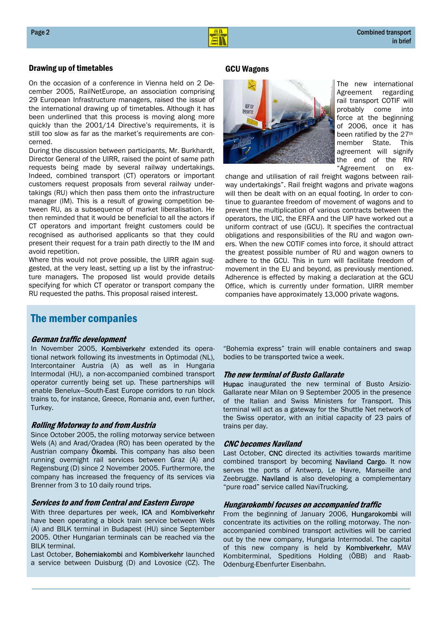

### Drawing up of timetables GCU Wagons

On the occasion of a conference in Vienna held on 2 December 2005, RailNetEurope, an association comprising 29 European Infrastructure managers, raised the issue of the international drawing up of timetables. Although it has been underlined that this process is moving along more quickly than the 2001/14 Directive's requirements, it is still too slow as far as the market's requirements are concerned.

During the discussion between participants, Mr. Burkhardt, Director General of the UIRR, raised the point of same path requests being made by several railway undertakings. Indeed, combined transport (CT) operators or important customers request proposals from several railway undertakings (RU) which then pass them onto the infrastructure manager (IM). This is a result of growing competition between RU, as a subsequence of market liberalisation. He then reminded that it would be beneficial to all the actors if CT operators and important freight customers could be recognised as authorised applicants so that they could present their request for a train path directly to the IM and avoid repetition.

Where this would not prove possible, the UIRR again suggested, at the very least, setting up a list by the infrastructure managers. The proposed list would provide details specifying for which CT operator or transport company the RU requested the paths. This proposal raised interest.



The new international Agreement regarding rail transport COTIF will probably come into force at the beginning of 2006, once it has been ratified by the 27th member State. This agreement will signify the end of the RIV "Agreement on ex-

change and utilisation of rail freight wagons between railway undertakings". Rail freight wagons and private wagons will then be dealt with on an equal footing. In order to continue to guarantee freedom of movement of wagons and to prevent the multiplication of various contracts between the operators, the UIC, the ERFA and the UIP have worked out a uniform contract of use (GCU). It specifies the contractual obligations and responsibilities of the RU and wagon owners. When the new COTIF comes into force, it should attract the greatest possible number of RU and wagon owners to adhere to the GCU. This in turn will facilitate freedom of movement in the EU and beyond, as previously mentioned. Adherence is effected by making a declaration at the GCU Office, which is currently under formation. UIRR member companies have approximately 13,000 private wagons.

## The member companies

#### German traffic development

In November 2005, Kombiverkehr extended its operational network following its investments in Optimodal (NL), Intercontainer Austria (A) as well as in Hungaria Intermodal (HU), a non-accompanied combined transport operator currently being set up. These partnerships will enable Benelux—South-East Europe corridors to run block trains to, for instance, Greece, Romania and, even further, Turkey.

#### Rolling Motorway to and from Austria

Since October 2005, the rolling motorway service between Wels (A) and Arad/Oradea (RO) has been operated by the Austrian company **Ökombi**. This company has also been running overnight rail services between Graz (A) and Regensburg (D) since 2 November 2005. Furthermore, the company has increased the frequency of its services via Brenner from 3 to 10 daily round trips.

#### Services to and from Central and Eastern Europe

With three departures per week, ICA and Kombiverkehr have been operating a block train service between Wels (A) and BILK terminal in Budapest (HU) since September 2005. Other Hungarian terminals can be reached via the BILK terminal.

Last October, Bohemiakombi and Kombiverkehr launched a service between Duisburg (D) and Lovosice (CZ). The

"Bohemia express" train will enable containers and swap bodies to be transported twice a week.

#### The new terminal of Busto Gallarate

Hupac inaugurated the new terminal of Busto Arsizio-Gallarate near Milan on 9 September 2005 in the presence of the Italian and Swiss Ministers for Transport. This terminal will act as a gateway for the Shuttle Net network of the Swiss operator, with an initial capacity of 23 pairs of trains per day.

#### CNC becomes Naviland

Last October, CNC directed its activities towards maritime combined transport by becoming Naviland Cargo. It now serves the ports of Antwerp, Le Havre, Marseille and Zeebrugge. Naviland is also developing a complementary "pure road" service called NaviTrucking.

#### Hungarokombi focuses on accompanied traffic

From the beginning of January 2006, Hungarokombi will concentrate its activities on the rolling motorway. The nonaccompanied combined transport activities will be carried out by the new company, Hungaria Intermodal. The capital of this new company is held by Kombiverkehr, MAV Kombiterminal, Speditions Holding (ÖBB) and Raab-Odenburg-Ebenfurter Eisenbahn.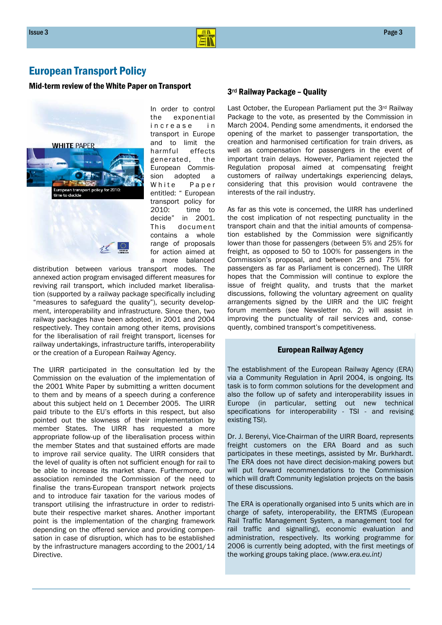

# European Transport Policy

# Mid-term review of the White Paper on Transport  $3<sup>rd</sup>$  Railway Package - Quality



In order to control the exponential increase in transport in Europe and to limit the harmful effects generated, the European Commission adopted a White Paper entitled: " European transport policy for 2010: time to decide" in 2001. This document contains a whole range of proposals for action aimed at a more balanced

distribution between various transport modes. The annexed action program envisaged different measures for reviving rail transport, which included market liberalisation (supported by a railway package specifically including "measures to safeguard the quality"), security development, interoperability and infrastructure. Since then, two railway packages have been adopted, in 2001 and 2004 respectively. They contain among other items, provisions for the liberalisation of rail freight transport, licenses for railway undertakings, infrastructure tariffs, interoperability or the creation of a European Railway Agency.

The UIRR participated in the consultation led by the Commission on the evaluation of the implementation of the 2001 White Paper by submitting a written document to them and by means of a speech during a conference about this subject held on 1 December 2005. The UIRR paid tribute to the EU's efforts in this respect, but also pointed out the slowness of their implementation by member States. The UIRR has requested a more appropriate follow-up of the liberalisation process within the member States and that sustained efforts are made to improve rail service quality. The UIRR considers that the level of quality is often not sufficient enough for rail to be able to increase its market share. Furthermore, our association reminded the Commission of the need to finalise the trans-European transport network projects and to introduce fair taxation for the various modes of transport utilising the infrastructure in order to redistribute their respective market shares. Another important point is the implementation of the charging framework depending on the offered service and providing compensation in case of disruption, which has to be established by the infrastructure managers according to the 2001/14 Directive.

Last October, the European Parliament put the 3rd Railway Package to the vote, as presented by the Commission in March 2004. Pending some amendments, it endorsed the opening of the market to passenger transportation, the creation and harmonised certification for train drivers, as well as compensation for passengers in the event of important train delays. However, Parliament rejected the Regulation proposal aimed at compensating freight customers of railway undertakings experiencing delays, considering that this provision would contravene the interests of the rail industry.

As far as this vote is concerned, the UIRR has underlined the cost implication of not respecting punctuality in the transport chain and that the initial amounts of compensation established by the Commission were significantly lower than those for passengers (between 5% and 25% for freight, as opposed to 50 to 100% for passengers in the Commission's proposal, and between 25 and 75% for passengers as far as Parliament is concerned). The UIRR hopes that the Commission will continue to explore the issue of freight quality, and trusts that the market discussions, following the voluntary agreement on quality arrangements signed by the UIRR and the UIC freight forum members (see Newsletter no. 2) will assist in improving the punctuality of rail services and, consequently, combined transport's competitiveness.

#### European Railway Agency

The establishment of the European Railway Agency (ERA) via a Community Regulation in April 2004, is ongoing. Its task is to form common solutions for the development and also the follow up of safety and interoperability issues in Europe (in particular, setting out new technical specifications for interoperability - TSI - and revising existing TSI).

Dr. J. Berenyi, Vice-Chairman of the UIRR Board, represents freight customers on the ERA Board and as such participates in these meetings, assisted by Mr. Burkhardt. The ERA does not have direct decision-making powers but will put forward recommendations to the Commission which will draft Community legislation projects on the basis of these discussions.

The ERA is operationally organised into 5 units which are in charge of safety, interoperability, the ERTMS (European Rail Traffic Management System, a management tool for rail traffic and signalling), economic evaluation and administration, respectively. Its working programme for 2006 is currently being adopted, with the first meetings of the working groups taking place. *(www.era.eu.int)*